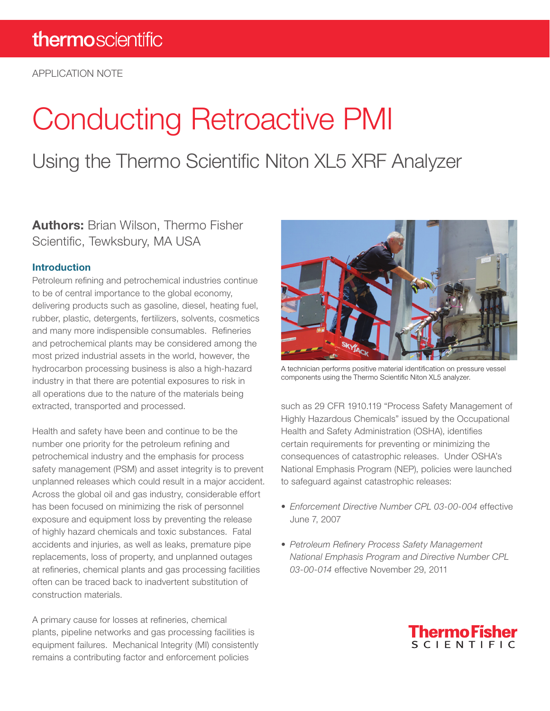APPLICATION NOTE

# Conducting Retroactive PMI

Using the Thermo Scientific Niton XL5 XRF Analyzer

### Authors: Brian Wilson, Thermo Fisher Scientific, Tewksbury, MA USA

#### Introduction

Petroleum refining and petrochemical industries continue to be of central importance to the global economy, delivering products such as gasoline, diesel, heating fuel, rubber, plastic, detergents, fertilizers, solvents, cosmetics and many more indispensible consumables. Refineries and petrochemical plants may be considered among the most prized industrial assets in the world, however, the hydrocarbon processing business is also a high-hazard industry in that there are potential exposures to risk in all operations due to the nature of the materials being extracted, transported and processed.

Health and safety have been and continue to be the number one priority for the petroleum refining and petrochemical industry and the emphasis for process safety management (PSM) and asset integrity is to prevent unplanned releases which could result in a major accident. Across the global oil and gas industry, considerable effort has been focused on minimizing the risk of personnel exposure and equipment loss by preventing the release of highly hazard chemicals and toxic substances. Fatal accidents and injuries, as well as leaks, premature pipe replacements, loss of property, and unplanned outages at refineries, chemical plants and gas processing facilities often can be traced back to inadvertent substitution of construction materials.

A primary cause for losses at refineries, chemical plants, pipeline networks and gas processing facilities is equipment failures. Mechanical Integrity (MI) consistently remains a contributing factor and enforcement policies



A technician performs positive material identification on pressure vessel components using the Thermo Scientific Niton XL5 analyzer.

such as 29 CFR 1910.119 "Process Safety Management of Highly Hazardous Chemicals" issued by the Occupational Health and Safety Administration (OSHA), identifies certain requirements for preventing or minimizing the consequences of catastrophic releases. Under OSHA's National Emphasis Program (NEP), policies were launched to safeguard against catastrophic releases:

- *• Enforcement Directive Number CPL 03-00-004* effective June 7, 2007
- *• Petroleum Refinery Process Safety Management National Emphasis Program and Directive Number CPL 03-00-014* effective November 29, 2011

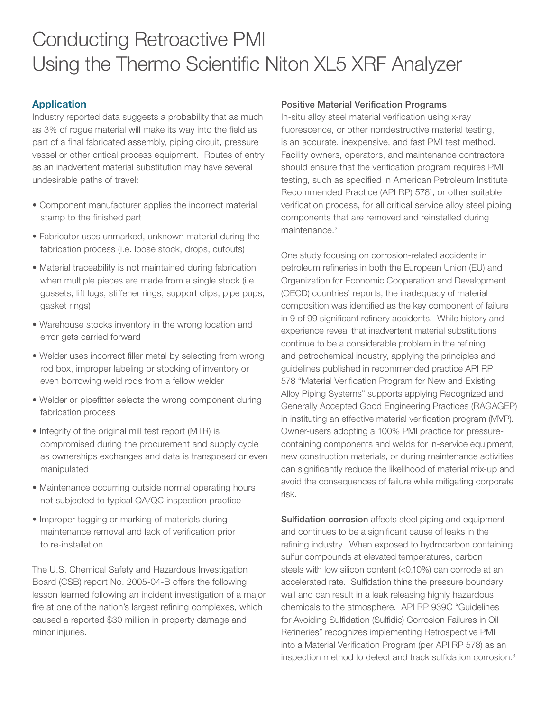## Conducting Retroactive PMI Using the Thermo Scientific Niton XL5 XRF Analyzer

#### Application

Industry reported data suggests a probability that as much as 3% of rogue material will make its way into the field as part of a final fabricated assembly, piping circuit, pressure vessel or other critical process equipment. Routes of entry as an inadvertent material substitution may have several undesirable paths of travel:

- Component manufacturer applies the incorrect material stamp to the finished part
- Fabricator uses unmarked, unknown material during the fabrication process (i.e. loose stock, drops, cutouts)
- Material traceability is not maintained during fabrication when multiple pieces are made from a single stock (i.e. gussets, lift lugs, stiffener rings, support clips, pipe pups, gasket rings)
- Warehouse stocks inventory in the wrong location and error gets carried forward
- Welder uses incorrect filler metal by selecting from wrong rod box, improper labeling or stocking of inventory or even borrowing weld rods from a fellow welder
- Welder or pipefitter selects the wrong component during fabrication process
- Integrity of the original mill test report (MTR) is compromised during the procurement and supply cycle as ownerships exchanges and data is transposed or even manipulated
- Maintenance occurring outside normal operating hours not subjected to typical QA/QC inspection practice
- Improper tagging or marking of materials during maintenance removal and lack of verification prior to re-installation

The U.S. Chemical Safety and Hazardous Investigation Board (CSB) report No. 2005-04-B offers the following lesson learned following an incident investigation of a major fire at one of the nation's largest refining complexes, which caused a reported \$30 million in property damage and minor injuries.

#### Positive Material Verification Programs

In-situ alloy steel material verification using x-ray fluorescence, or other nondestructive material testing, is an accurate, inexpensive, and fast PMI test method. Facility owners, operators, and maintenance contractors should ensure that the verification program requires PMI testing, such as specified in American Petroleum Institute Recommended Practice (API RP) 5781 , or other suitable verification process, for all critical service alloy steel piping components that are removed and reinstalled during maintenance.<sup>2</sup>

One study focusing on corrosion-related accidents in petroleum refineries in both the European Union (EU) and Organization for Economic Cooperation and Development (OECD) countries' reports, the inadequacy of material composition was identified as the key component of failure in 9 of 99 significant refinery accidents. While history and experience reveal that inadvertent material substitutions continue to be a considerable problem in the refining and petrochemical industry, applying the principles and guidelines published in recommended practice API RP 578 "Material Verification Program for New and Existing Alloy Piping Systems" supports applying Recognized and Generally Accepted Good Engineering Practices (RAGAGEP) in instituting an effective material verification program (MVP). Owner-users adopting a 100% PMI practice for pressurecontaining components and welds for in-service equipment, new construction materials, or during maintenance activities can significantly reduce the likelihood of material mix-up and avoid the consequences of failure while mitigating corporate risk.

Sulfidation corrosion affects steel piping and equipment and continues to be a significant cause of leaks in the refining industry. When exposed to hydrocarbon containing sulfur compounds at elevated temperatures, carbon steels with low silicon content (<0.10%) can corrode at an accelerated rate. Sulfidation thins the pressure boundary wall and can result in a leak releasing highly hazardous chemicals to the atmosphere. API RP 939C "Guidelines for Avoiding Sulfidation (Sulfidic) Corrosion Failures in Oil Refineries" recognizes implementing Retrospective PMI into a Material Verification Program (per API RP 578) as an inspection method to detect and track sulfidation corrosion.3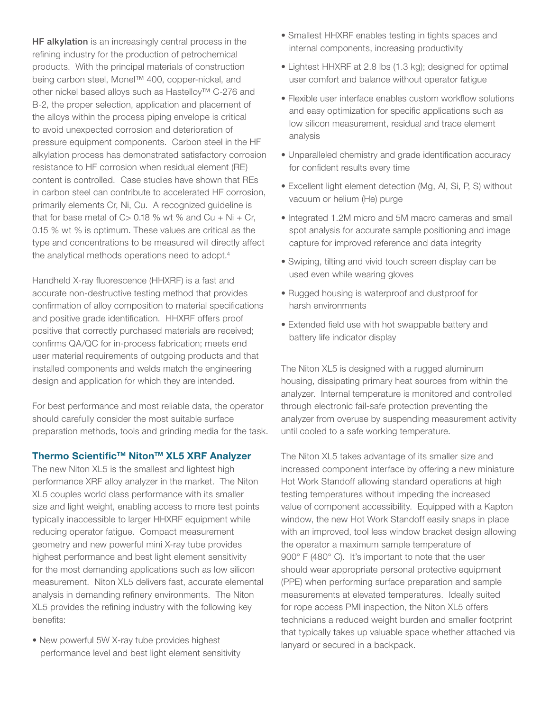HF alkylation is an increasingly central process in the refining industry for the production of petrochemical products. With the principal materials of construction being carbon steel, Monel™ 400, copper-nickel, and other nickel based alloys such as Hastelloy™ C-276 and B-2, the proper selection, application and placement of the alloys within the process piping envelope is critical to avoid unexpected corrosion and deterioration of pressure equipment components. Carbon steel in the HF alkylation process has demonstrated satisfactory corrosion resistance to HF corrosion when residual element (RE) content is controlled. Case studies have shown that REs in carbon steel can contribute to accelerated HF corrosion, primarily elements Cr, Ni, Cu. A recognized guideline is that for base metal of  $C > 0.18$  % wt % and  $Cu + Ni + Cr$ , 0.15 % wt % is optimum. These values are critical as the type and concentrations to be measured will directly affect the analytical methods operations need to adopt.<sup>4</sup>

Handheld X-ray fluorescence (HHXRF) is a fast and accurate non-destructive testing method that provides confirmation of alloy composition to material specifications and positive grade identification. HHXRF offers proof positive that correctly purchased materials are received; confirms QA/QC for in-process fabrication; meets end user material requirements of outgoing products and that installed components and welds match the engineering design and application for which they are intended.

For best performance and most reliable data, the operator should carefully consider the most suitable surface preparation methods, tools and grinding media for the task.

#### Thermo Scientific™ Niton™ XL5 XRF Analyzer

The new Niton XL5 is the smallest and lightest high performance XRF alloy analyzer in the market. The Niton XL5 couples world class performance with its smaller size and light weight, enabling access to more test points typically inaccessible to larger HHXRF equipment while reducing operator fatigue. Compact measurement geometry and new powerful mini X-ray tube provides highest performance and best light element sensitivity for the most demanding applications such as low silicon measurement. Niton XL5 delivers fast, accurate elemental analysis in demanding refinery environments. The Niton XL5 provides the refining industry with the following key benefits:

• New powerful 5W X-ray tube provides highest performance level and best light element sensitivity

- Smallest HHXRF enables testing in tights spaces and internal components, increasing productivity
- Lightest HHXRF at 2.8 lbs (1.3 kg); designed for optimal user comfort and balance without operator fatigue
- Flexible user interface enables custom workflow solutions and easy optimization for specific applications such as low silicon measurement, residual and trace element analysis
- Unparalleled chemistry and grade identification accuracy for confident results every time
- Excellent light element detection (Mg, Al, Si, P, S) without vacuum or helium (He) purge
- Integrated 1.2M micro and 5M macro cameras and small spot analysis for accurate sample positioning and image capture for improved reference and data integrity
- Swiping, tilting and vivid touch screen display can be used even while wearing gloves
- Rugged housing is waterproof and dustproof for harsh environments
- Extended field use with hot swappable battery and battery life indicator display

The Niton XL5 is designed with a rugged aluminum housing, dissipating primary heat sources from within the analyzer. Internal temperature is monitored and controlled through electronic fail-safe protection preventing the analyzer from overuse by suspending measurement activity until cooled to a safe working temperature.

The Niton XL5 takes advantage of its smaller size and increased component interface by offering a new miniature Hot Work Standoff allowing standard operations at high testing temperatures without impeding the increased value of component accessibility. Equipped with a Kapton window, the new Hot Work Standoff easily snaps in place with an improved, tool less window bracket design allowing the operator a maximum sample temperature of 900° F (480° C). It's important to note that the user should wear appropriate personal protective equipment (PPE) when performing surface preparation and sample measurements at elevated temperatures. Ideally suited for rope access PMI inspection, the Niton XL5 offers technicians a reduced weight burden and smaller footprint that typically takes up valuable space whether attached via lanyard or secured in a backpack.